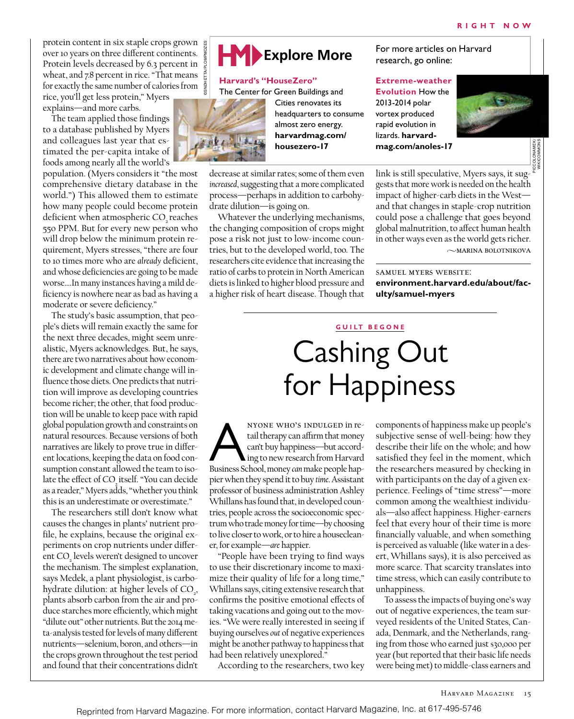protein content in six staple crops grown over 10 years on three different continents. Protein levels decreased by 6.3 percent in wheat, and 7.8 percent in rice. "That means for exactly the same number of calories from rice, you'll get less protein," Myers explains—and more carbs.

The team applied those findings to a database published by Myers and colleagues last year that estimated the per-capita intake of foods among nearly all the world's

population. (Myers considers it "the most comprehensive dietary database in the world.") This allowed them to estimate how many people could become protein deficient when atmospheric CO<sub>2</sub> reaches 550 PPM. But for every new person who will drop below the minimum protein requirement, Myers stresses, "there are four to 10 times more who are *already* deficient, and whose deficiencies are going to be made worse….In many instances having a mild deficiency is nowhere near as bad as having a moderate or severe deficiency."

The study's basic assumption, that people's diets will remain exactly the same for the next three decades, might seem unrealistic, Myers acknowledges. But, he says, there are two narratives about how economic development and climate change will influence those diets. One predicts that nutrition will improve as developing countries become richer; the other, that food production will be unable to keep pace with rapid global population growth and constraints on natural resources. Because versions of both narratives are likely to prove true in different locations, keeping the data on food consumption constant allowed the team to isolate the effect of CO<sub>2</sub> itself. "You can decide as a reader," Myers adds, "whether you think this is an underestimate or overestimate."

The researchers still don't know what causes the changes in plants' nutrient profile, he explains, because the original experiments on crop nutrients under different CO<sub>2</sub> levels weren't designed to uncover the mechanism. The simplest explanation, says Medek, a plant physiologist, is carbohydrate dilution: at higher levels of  $CO<sub>2</sub>$ , plants absorb carbon from the air and produce starches more efficiently, which might "dilute out" other nutrients. But the 2014 meta-analysis tested for levels of many different nutrients—selenium, boron, and others—in the crops grown throughout the test period and found that their concentrations didn't



**Harvard's "HouseZero"**

The Center for Green Buildings and



Cities renovates its headquarters to consume almost zero energy. **harvardmag.com/ housezero-17**

decrease at similar rates; some of them even *increased*, suggesting that a more complicated process—perhaps in addition to carbohydrate dilution—is going on.

Whatever the underlying mechanisms, the changing composition of crops might pose a risk not just to low-income countries, but to the developed world, too. The researchers cite evidence that increasing the ratio of carbs to protein in North American diets is linked to higher blood pressure and a higher risk of heart disease. Though that

research, go online:

# **Extreme-weather Evolution** How the 2013-2014 polar vortex produced rapid evolution in lizards. **harvardmag.com/anoles-17**



link is still speculative, Myers says, it suggests that more work is needed on the health impact of higher-carb diets in the West and that changes in staple-crop nutrition could pose a challenge that goes beyond global malnutrition, to affect human health in other ways even as the world gets richer.  $\sim$ MARINA BOLOTNIKOVA

samuel myers website: **environment.harvard.edu/about/faculty/samuel-myers**

## **G U I LT B E G ONE**

# Cashing Out for Happiness

NYONE WHO'S INDULGED in re-<br>
tail therapy can affirm that money<br>
can't buy happiness—but accord-<br>
Business School, money *can* make people haptail therapy can affirm that money can't buy happiness—but according to new research from Harvard pier when they spend it to buy *time*. Assistant professor of business administration Ashley Whillans has found that, in developed countries, people across the socioeconomic spectrum who trade money for time—by choosing to live closer to work, or to hire a housecleaner, for example—*are* happier.

"People have been trying to find ways to use their discretionary income to maximize their quality of life for a long time," Whillans says, citing extensive research that confirms the positive emotional effects of taking vacations and going out to the movies. "We were really interested in seeing if buying ourselves *out* of negative experiences might be another pathway to happiness that had been relatively unexplored."

According to the researchers, two key

components of happiness make up people's subjective sense of well-being: how they describe their life on the whole; and how satisfied they feel in the moment, which the researchers measured by checking in with participants on the day of a given experience. Feelings of "time stress"—more common among the wealthiest individuals—also affect happiness. Higher-earners feel that every hour of their time is more financially valuable, and when something is perceived as valuable (like water in a desert, Whillans says), it is also perceived as more scarce. That scarcity translates into time stress, which can easily contribute to unhappiness.

To assess the impacts of buying one's way out of negative experiences, the team surveyed residents of the United States, Canada, Denmark, and the Netherlands, ranging from those who earned just \$30,000 per year (but reported that their basic life needs were being met) to middle-class earners and